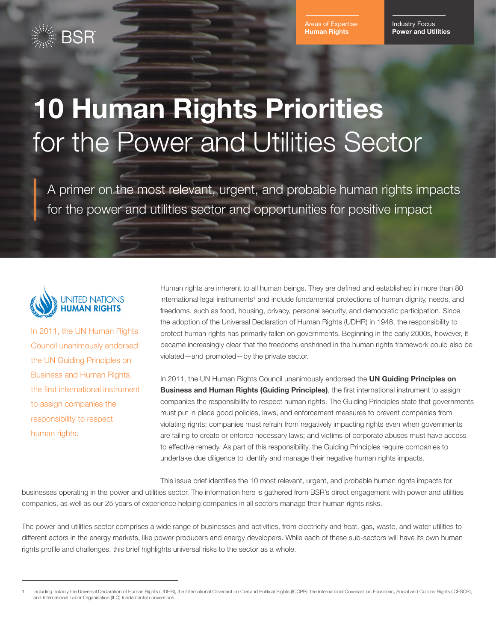Areas of Expertise **Human Rights**

Industry Focus **Power and Utilities** 

# **10 Human Rights Priorities** for the Power and Utilities Sector

A primer on the most relevant, urgent, and probable human rights impacts for the power and utilities sector and opportunities for positive impact



In 2011, the UN Human Rights Council unanimously endorsed the UN Guiding Principles on Business and Human Rights, the first international instrument to assign companies the responsibility to respect human rights.

Human rights are inherent to all human beings. They are defined and established in more than 80 international legal instruments<sup>1</sup> and include fundamental protections of human dignity, needs, and freedoms, such as food, housing, privacy, personal security, and democratic participation. Since the adoption of the Universal Declaration of Human Rights (UDHR) in 1948, the responsibility to protect human rights has primarily fallen on governments. Beginning in the early 2000s, however, it became increasingly clear that the freedoms enshrined in the human rights framework could also be violated—and promoted—by the private sector.

In 2011, the UN Human Rights Council unanimously endorsed the **[UN Guiding Principles on](http://www.ohchr.org/Documents/Publications/GuidingPrinciplesBusinessHR_EN.pdf)  [Business and Human Rights \(Guiding Principles\)](http://www.ohchr.org/Documents/Publications/GuidingPrinciplesBusinessHR_EN.pdf)**, the first international instrument to assign companies the responsibility to respect human rights. The Guiding Principles state that governments must put in place good policies, laws, and enforcement measures to prevent companies from violating rights; companies must refrain from negatively impacting rights even when governments are failing to create or enforce necessary laws; and victims of corporate abuses must have access to effective remedy. As part of this responsibility, the Guiding Principles require companies to undertake due diligence to identify and manage their negative human rights impacts.

This issue brief identifies the 10 most relevant, urgent, and probable human rights impacts for businesses operating in the power and utilities sector. The information here is gathered from BSR's direct engagement with power and utilities companies, as well as our 25 years of experience helping companies in all sectors manage their human rights risks.

The power and utilities sector comprises a wide range of businesses and activities, from electricity and heat, gas, waste, and water utilities to different actors in the energy markets, like power producers and energy developers. While each of these sub-sectors will have its own human rights profile and challenges, this brief highlights universal risks to the sector as a whole.

Including notably the Universal Declaration of Human Rights (UDHR), the International Covenant on Civil and Political Rights (ICCPR), the International Covenant on Economic, Social and Cultural Rights (ICESCR), [and International Labor Organisation \(ILO\) fundamental conventions.](http://www.ohchr.org/EN/ProfessionalInterest/Pages/CESCR.aspx)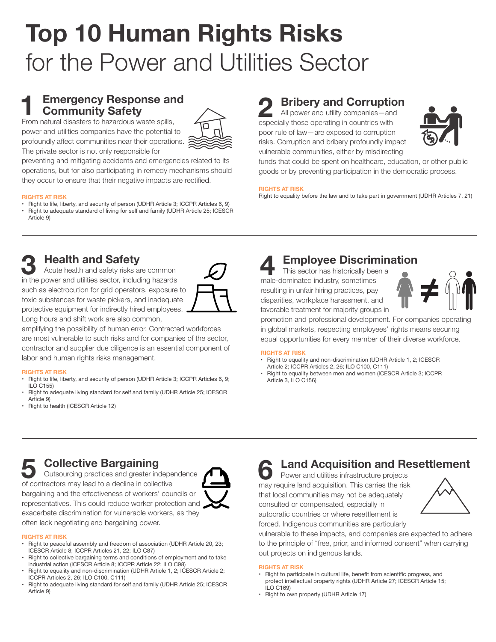# **Top 10 Human Rights Risks** for the Power and Utilities Sector

# **Emergency Response and Community Safety**

From natural disasters to hazardous waste spills, power and utilities companies have the potential to profoundly affect communities near their operations. The private sector is not only responsible for



preventing and mitigating accidents and emergencies related to its operations, but for also participating in remedy mechanisms should they occur to ensure that their negative impacts are rectified.

#### **RIGHTS AT RISK**

- • Right to life, liberty, and security of person [\(UDHR](http://www.un.org/en/universal-declaration-human-rights/) Article 3; ICCPR [Articles](http://www.ohchr.org/Documents/ProfessionalInterest/ccpr.pdf) 6, 9)
- Right to adequate standard of living for self and family (UDHR Article 25; [ICESCR](http://www.ohchr.org/EN/ProfessionalInterest/Pages/CESCR.aspx)  [Article](http://www.ohchr.org/EN/ProfessionalInterest/Pages/CESCR.aspx) 9)

# **2 Bribery and Corruption**

All power and utility companies—and especially those operating in countries with poor rule of law—are exposed to corruption risks. Corruption and bribery profoundly impact vulnerable communities, either by misdirecting



funds that could be spent on healthcare, education, or other public goods or by preventing participation in the democratic process.

### **RIGHTS AT RISK**

Right to equality before the law and to take part in government (UDHR [Articles](http://www.un.org/en/universal-declaration-human-rights/) 7, 21)



## **3 Health and Safety**

Acute health and safety risks are common in the power and utilities sector, including hazards such as electrocution for grid operators, exposure to toxic substances for waste pickers, and inadequate protective equipment for indirectly hired employees. Long hours and shift work are also common,



amplifying the possibility of human error. Contracted workforces are most vulnerable to such risks and for companies of the sector, contractor and supplier due diligence is an essential component of labor and human rights risks management.

### **RIGHTS AT RISK**

- Right to life, liberty, and security of person [\(UDHR](http://www.un.org/en/universal-declaration-human-rights/) Article 3; ICCPR Articles 6, 9; ILO [C155](http://www.ilo.org/dyn/normlex/en/f?p=NORMLEXPUB:12100:0::NO::p12100_instrument_id:312300))
- Right to adequate living standard for self and family (UDHR [Article](http://www.ohchr.org/Documents/ProfessionalInterest/ccpr.pdf) 25; I[CESCR](http://www.ohchr.org/EN/ProfessionalInterest/Pages/CESCR.aspx)  [Article](http://www.ohchr.org/EN/ProfessionalInterest/Pages/CESCR.aspx) 9)
- • Right to health [\(ICESCR](http://www.ohchr.org/EN/ProfessionalInterest/Pages/CESCR.aspx) Article 12)

# **4 Employee Discrimination**

This sector has historically been a male-dominated industry, sometimes resulting in unfair hiring practices, pay disparities, workplace harassment, and favorable treatment for majority groups in



promotion and professional development. For companies operating in global markets, respecting employees' rights means securing equal opportunities for every member of their diverse workforce.

#### **RIGHTS AT RISK**

- Right to equality and non-discrimination [\(UDHR](http://www.un.org/en/universal-declaration-human-rights/) Article 1, 2; ICESCR  [Article](http://www.ohchr.org/Documents/ProfessionalInterest/ccpr.pdf) 2; ICCPR Articles 2, 26; ILO [C100,](http://www.ilo.org/dyn/normlex/en/f?p=NORMLEXPUB:12100:0::NO::P12100_Ilo_Code:C100) [C111](http://www.ilo.org/dyn/normlex/en/f?p=1000:12100:0::NO::P12100_INSTRUMENT_ID,P12100_LANG_CODE:312256,en:NO))
- Right to equality between men and women ([ICESCR](http://www.ohchr.org/EN/ProfessionalInterest/Pages/CESCR.aspx) Article 3; ICCPR  [Article](http://www.ohchr.org/EN/ProfessionalInterest/Pages/CESCR.aspx) 3, ILO C156)

# **5 Collective Bargaining**

Outsourcing practices and greater independence of contractors may lead to a decline in collective bargaining and the effectiveness of workers' councils or representatives. This could reduce worker protection and exacerbate discrimination for vulnerable workers, as they often lack negotiating and bargaining power.



#### **RIGHTS AT RISK**

- • Right to peaceful assembly and freedom of association [\(UDHR](http://www.un.org/en/universal-declaration-human-rights/) Article 20, 23; [ICESCR](http://www.ohchr.org/EN/ProfessionalInterest/Pages/CESCR.aspx) Article 8; ICCPR [Articles](http://www.ohchr.org/Documents/ProfessionalInterest/ccpr.pdf) 21, 22; ILO [C87](http://www.ilo.org/dyn/normlex/en/f?p=NORMLEXPUB:12100:0::NO::P12100_INSTRUMENT_ID:312232))
- • Right to collective bargaining terms and conditions of employment and to take industrial action [\(ICESCR](http://www.ohchr.org/EN/ProfessionalInterest/Pages/CESCR.aspx) Article 8; [ICCPR](http://www.ohchr.org/Documents/ProfessionalInterest/ccpr.pdf) Article 22; ILO [C98\)](http://www.ilo.org/dyn/normlex/en/f?p=NORMLEXPUB:12100:0::NO:12100:P12100_ILO_CODE:C098)
- Right to equality and non-discrimination (UDHR [Article](http://www.un.org/en/universal-declaration-human-rights/) 1, 2; [ICESCR](http://www.ohchr.org/EN/ProfessionalInterest/Pages/CESCR.aspx) Article 2; ICCPR [Articles](http://www.ohchr.org/Documents/ProfessionalInterest/ccpr.pdf) 2, 26; ILO [C100,](http://www.ilo.org/dyn/normlex/en/f?p=NORMLEXPUB:12100:0::NO::P12100_Ilo_Code:C100) [C111\)](http://www.ilo.org/dyn/normlex/en/f?p=1000:12100:0::NO::P12100_INSTRUMENT_ID,P12100_LANG_CODE:312256,en:NO)
- Right to adequate living standard for self and family (UDHR [Article](http://www.un.org/en/universal-declaration-human-rights/) 25; [ICESCR](http://www.ohchr.org/EN/ProfessionalInterest/Pages/CESCR.aspx)  [Article](http://www.ohchr.org/EN/ProfessionalInterest/Pages/CESCR.aspx) 9)

# **6 Land Acquisition and Resettlement**

Power and utilities infrastructure projects may require land acquisition. This carries the risk that local communities may not be adequately consulted or compensated, especially in autocratic countries or where resettlement is forced. Indigenous communities are particularly



vulnerable to these impacts, and companies are expected to adhere to the principle of "free, prior, and informed consent" when carrying out projects on indigenous lands.

#### **RIGHTS AT RISK**

- • Right to participate in cultural life, benefit from scientific progress, and protect intellectual property rights (UDHR [Article](http://www.un.org/en/universal-declaration-human-rights/) 27; [ICESCR](http://www.ohchr.org/EN/ProfessionalInterest/Pages/CESCR.aspx) Article 15; ILO C169)
- • Right to own property [\(UDHR](http://www.un.org/en/universal-declaration-human-rights/) Article 17)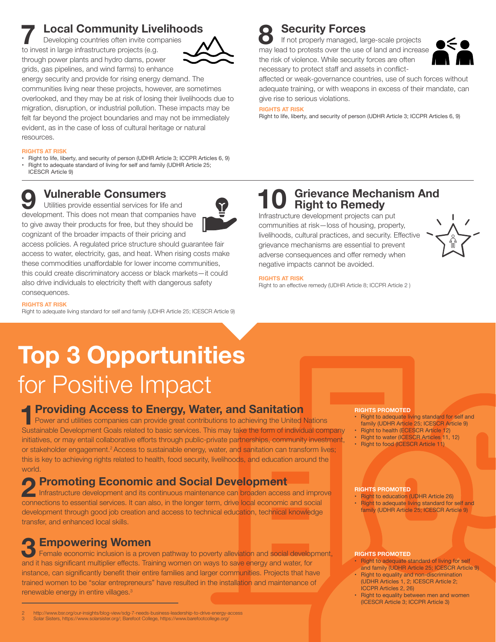# **7 Local Community Livelihoods**

Developing countries often invite companies to invest in large infrastructure projects (e.g. through power plants and hydro dams, power grids, gas pipelines, and wind farms) to enhance



energy security and provide for rising energy demand. The communities living near these projects, however, are sometimes overlooked, and they may be at risk of losing their livelihoods due to migration, disruption, or industrial pollution. These impacts may be felt far beyond the project boundaries and may not be immediately evident, as in the case of loss of cultural heritage or natural resources.

#### **RIGHTS AT RISK**

Right to life, liberty, and security of person [\(UDHR](http://www.un.org/en/universal-declaration-human-rights/) Article 3; ICCPR [Articles](http://www.ohchr.org/Documents/ProfessionalInterest/ccpr.pdf) 6, 9) Right to adequate standard of living for self and family (UDHR [Article](http://www.un.org/en/universal-declaration-human-rights/) 25; **ICESCR Article 9)** 

**9 Vulnerable Consumers**<br>Utilities provide essential services for life<br>development. This does not mean that compa Utilities provide essential services for life and development. This does not mean that companies have to give away their products for free, but they should be cognizant of the broader impacts of their pricing and

access policies. A regulated price structure should guarantee fair access to water, electricity, gas, and heat. When rising costs make these commodities unaffordable for lower income communities, this could create discriminatory access or black markets—it could also drive individuals to electricity theft with dangerous safety consequences.

### **RIGHTS AT RISK**

Right to adequate living standard for self and family [\(UDHR Article 25](http://www.un.org/en/universal-declaration-human-rights/); [ICESCR Article 9](http://www.ohchr.org/EN/ProfessionalInterest/Pages/CESCR.aspx))

**8 Security Forces**<br>**8 If not properly managed, la**<br>**may lead to protests over the use** If not properly managed, large-scale projects may lead to protests over the use of land and increase the risk of violence. While security forces are often necessary to protect staff and assets in conflict-



affected or weak-governance countries, use of such forces without adequate training, or with weapons in excess of their mandate, can give rise to serious violations.

#### **RIGHTS AT RISK**

Right to life, liberty, and security of person [\(UDHR](http://www.un.org/en/universal-declaration-human-rights/) Article 3; ICCPR [Articles](http://www.ohchr.org/Documents/ProfessionalInterest/ccpr.pdf) 6, 9)

## **10 Grievance Mechanism And Right to Remedy**

Infrastructure development projects can put communities at risk—loss of housing, property, livelihoods, cultural practices, and security. Effective grievance mechanisms are essential to prevent adverse consequences and offer remedy when negative impacts cannot be avoided.



#### **RIGHTS AT RISK**

Right to an effective remedy (UDHR Article 8; [ICCPR Article 2](http://www.ohchr.org/Documents/ProfessionalInterest/ccpr.pdf) [\)](http://www.un.org/en/universal-declaration-human-rights/)

# **Top 3 Opportunities**  for Positive Impact

### **1Providing Access to Energy, Water, and Sanitation**

Power and utilities companies can provide great contributions to achieving the United Nations Sustainable Development Goals related to basic services. This may take the form of individual company initiatives, or may entail collaborative efforts through public-private partnerships, community investment, or stakeholder engagement.<sup>2</sup> Access to sustainable energy, water, and sanitation can transform lives; this is key to achieving rights related to health, food security, livelihoods, and education around the world.

**2 Promoting Economic and Social Development**<br>
Infrastructure development and its continuous maintenance can broaden acces<br>
connections to essential services. It can also, in the longer term, drive local economic Infrastructure development and its continuous maintenance can broaden access and improve connections to essential services. It can also, in the longer term, drive local economic and social development through good job creation and access to technical education, technical knowledge transfer, and enhanced local skills.

# **3 Empowering Women**

Female economic inclusion is a proven pathway to poverty alleviation and social development, and it has significant multiplier effects. Training women on ways to save energy and water, for instance, can significantly benefit their entire families and larger communities. Projects that have trained women to be "solar entrepreneurs" have resulted in the installation and maintenance of renewable energy in entire villages.3

- 2<http://www.bsr.org/our-insights/blog-view/sdg-7-needs-business-leadership-to-drive-energy-access>
- [3](http://www.bsr.org/our-insights/blog-view/sdg-7-needs-business-leadership-to-drive-energy-access) Solar Sisters[, https://www.solarsister.org/]( https://www.solarsister.org/); Barefoot College[, https://www.barefootcollege.org/]( https://www.barefootcollege.org/
)

#### **RIGHTS PROMOTED**

- Right to adequate living standard for self and family (UDHR Article 25; ICESCR Article 9)
- **Right to health (ECESCR Article 12)**
- Right to water (ICESCR Articles 11, 12)
- Right to food (ICESCR Article 11)

#### **RIGHTS PROMOTED**

- **Right to education (UDHR Article 26)**
- Right to adequate living standard for self and family (UDHR Article 25; ICESCR Article 9)

#### **RIGHTS PROMOTED**

- **Right to adequate standard of living for self**  and family (UDHR Article 25; ICESCR Article 9)
- Right to equality and non-discrimination (UDHR Articles 1, 2; ICESCR Article 2; ICCPR Articles 2, 26)
- Right to equality between men and women (ICESCR Article 3; ICCPR Article 3)